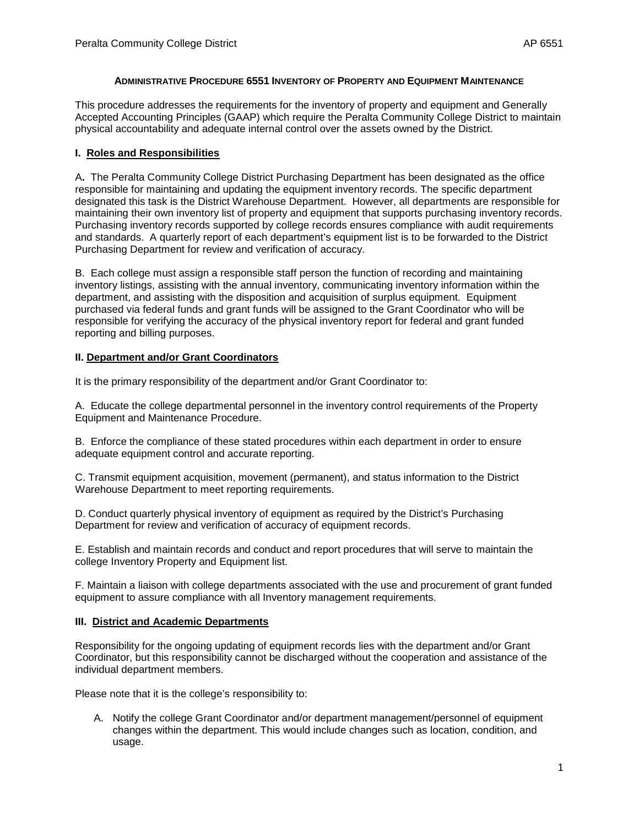#### **ADMINISTRATIVE PROCEDURE 6551 INVENTORY OF PROPERTY AND EQUIPMENT MAINTENANCE**

This procedure addresses the requirements for the inventory of property and equipment and Generally Accepted Accounting Principles (GAAP) which require the Peralta Community College District to maintain physical accountability and adequate internal control over the assets owned by the District.

# **I. Roles and Responsibilities**

A**.** The Peralta Community College District Purchasing Department has been designated as the office responsible for maintaining and updating the equipment inventory records. The specific department designated this task is the District Warehouse Department. However, all departments are responsible for maintaining their own inventory list of property and equipment that supports purchasing inventory records. Purchasing inventory records supported by college records ensures compliance with audit requirements and standards. A quarterly report of each department's equipment list is to be forwarded to the District Purchasing Department for review and verification of accuracy.

B. Each college must assign a responsible staff person the function of recording and maintaining inventory listings, assisting with the annual inventory, communicating inventory information within the department, and assisting with the disposition and acquisition of surplus equipment. Equipment purchased via federal funds and grant funds will be assigned to the Grant Coordinator who will be responsible for verifying the accuracy of the physical inventory report for federal and grant funded reporting and billing purposes.

# **II. Department and/or Grant Coordinators**

It is the primary responsibility of the department and/or Grant Coordinator to:

A. Educate the college departmental personnel in the inventory control requirements of the Property Equipment and Maintenance Procedure.

B. Enforce the compliance of these stated procedures within each department in order to ensure adequate equipment control and accurate reporting.

C. Transmit equipment acquisition, movement (permanent), and status information to the District Warehouse Department to meet reporting requirements.

D. Conduct quarterly physical inventory of equipment as required by the District's Purchasing Department for review and verification of accuracy of equipment records.

E. Establish and maintain records and conduct and report procedures that will serve to maintain the college Inventory Property and Equipment list.

F. Maintain a liaison with college departments associated with the use and procurement of grant funded equipment to assure compliance with all Inventory management requirements.

# **III. District and Academic Departments**

Responsibility for the ongoing updating of equipment records lies with the department and/or Grant Coordinator, but this responsibility cannot be discharged without the cooperation and assistance of the individual department members.

Please note that it is the college's responsibility to:

A. Notify the college Grant Coordinator and/or department management/personnel of equipment changes within the department. This would include changes such as location, condition, and usage.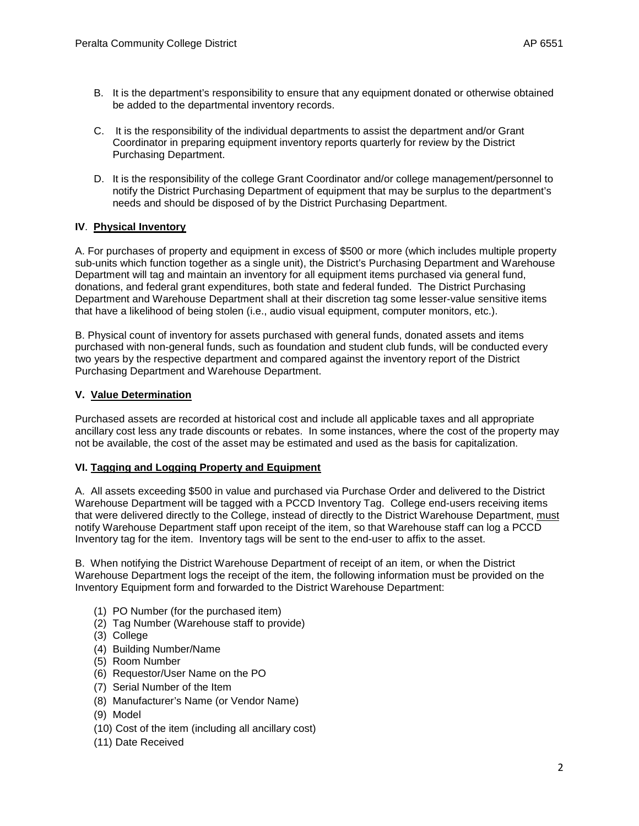- C. It is the responsibility of the individual departments to assist the department and/or Grant Coordinator in preparing equipment inventory reports quarterly for review by the District Purchasing Department.
- D. It is the responsibility of the college Grant Coordinator and/or college management/personnel to notify the District Purchasing Department of equipment that may be surplus to the department's needs and should be disposed of by the District Purchasing Department.

# **IV**. **Physical Inventory**

A. For purchases of property and equipment in excess of \$500 or more (which includes multiple property sub-units which function together as a single unit), the District's Purchasing Department and Warehouse Department will tag and maintain an inventory for all equipment items purchased via general fund, donations, and federal grant expenditures, both state and federal funded. The District Purchasing Department and Warehouse Department shall at their discretion tag some lesser-value sensitive items that have a likelihood of being stolen (i.e., audio visual equipment, computer monitors, etc.).

B. Physical count of inventory for assets purchased with general funds, donated assets and items purchased with non-general funds, such as foundation and student club funds, will be conducted every two years by the respective department and compared against the inventory report of the District Purchasing Department and Warehouse Department.

# **V. Value Determination**

Purchased assets are recorded at historical cost and include all applicable taxes and all appropriate ancillary cost less any trade discounts or rebates. In some instances, where the cost of the property may not be available, the cost of the asset may be estimated and used as the basis for capitalization.

# **VI. Tagging and Logging Property and Equipment**

A. All assets exceeding \$500 in value and purchased via Purchase Order and delivered to the District Warehouse Department will be tagged with a PCCD Inventory Tag. College end-users receiving items that were delivered directly to the College, instead of directly to the District Warehouse Department, must notify Warehouse Department staff upon receipt of the item, so that Warehouse staff can log a PCCD Inventory tag for the item. Inventory tags will be sent to the end-user to affix to the asset.

B. When notifying the District Warehouse Department of receipt of an item, or when the District Warehouse Department logs the receipt of the item, the following information must be provided on the Inventory Equipment form and forwarded to the District Warehouse Department:

- (1) PO Number (for the purchased item)
- (2) Tag Number (Warehouse staff to provide)
- (3) College
- (4) Building Number/Name
- (5) Room Number
- (6) Requestor/User Name on the PO
- (7) Serial Number of the Item
- (8) Manufacturer's Name (or Vendor Name)
- (9) Model
- (10) Cost of the item (including all ancillary cost)
- (11) Date Received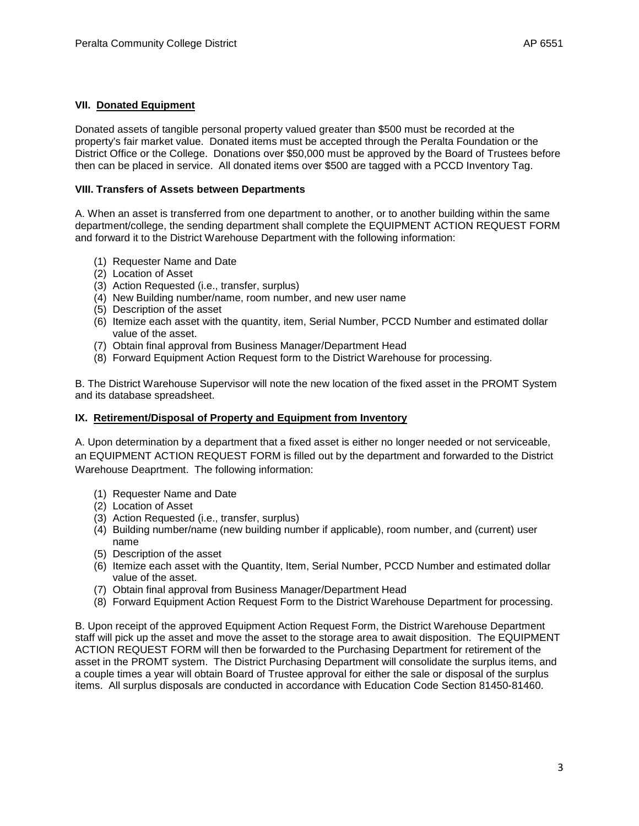# **VII. Donated Equipment**

Donated assets of tangible personal property valued greater than \$500 must be recorded at the property's fair market value. Donated items must be accepted through the Peralta Foundation or the District Office or the College. Donations over \$50,000 must be approved by the Board of Trustees before then can be placed in service. All donated items over \$500 are tagged with a PCCD Inventory Tag.

#### **VIII. Transfers of Assets between Departments**

A. When an asset is transferred from one department to another, or to another building within the same department/college, the sending department shall complete the EQUIPMENT ACTION REQUEST FORM and forward it to the District Warehouse Department with the following information:

- (1) Requester Name and Date
- (2) Location of Asset
- (3) Action Requested (i.e., transfer, surplus)
- (4) New Building number/name, room number, and new user name
- (5) Description of the asset
- (6) Itemize each asset with the quantity, item, Serial Number, PCCD Number and estimated dollar value of the asset.
- (7) Obtain final approval from Business Manager/Department Head
- (8) Forward Equipment Action Request form to the District Warehouse for processing.

B. The District Warehouse Supervisor will note the new location of the fixed asset in the PROMT System and its database spreadsheet.

#### **IX. Retirement/Disposal of Property and Equipment from Inventory**

A. Upon determination by a department that a fixed asset is either no longer needed or not serviceable, an EQUIPMENT ACTION REQUEST FORM is filled out by the department and forwarded to the District Warehouse Deaprtment. The following information:

- (1) Requester Name and Date
- (2) Location of Asset
- (3) Action Requested (i.e., transfer, surplus)
- (4) Building number/name (new building number if applicable), room number, and (current) user name
- (5) Description of the asset
- (6) Itemize each asset with the Quantity, Item, Serial Number, PCCD Number and estimated dollar value of the asset.
- (7) Obtain final approval from Business Manager/Department Head
- (8) Forward Equipment Action Request Form to the District Warehouse Department for processing.

B. Upon receipt of the approved Equipment Action Request Form, the District Warehouse Department staff will pick up the asset and move the asset to the storage area to await disposition. The EQUIPMENT ACTION REQUEST FORM will then be forwarded to the Purchasing Department for retirement of the asset in the PROMT system. The District Purchasing Department will consolidate the surplus items, and a couple times a year will obtain Board of Trustee approval for either the sale or disposal of the surplus items. All surplus disposals are conducted in accordance with Education Code Section 81450-81460.